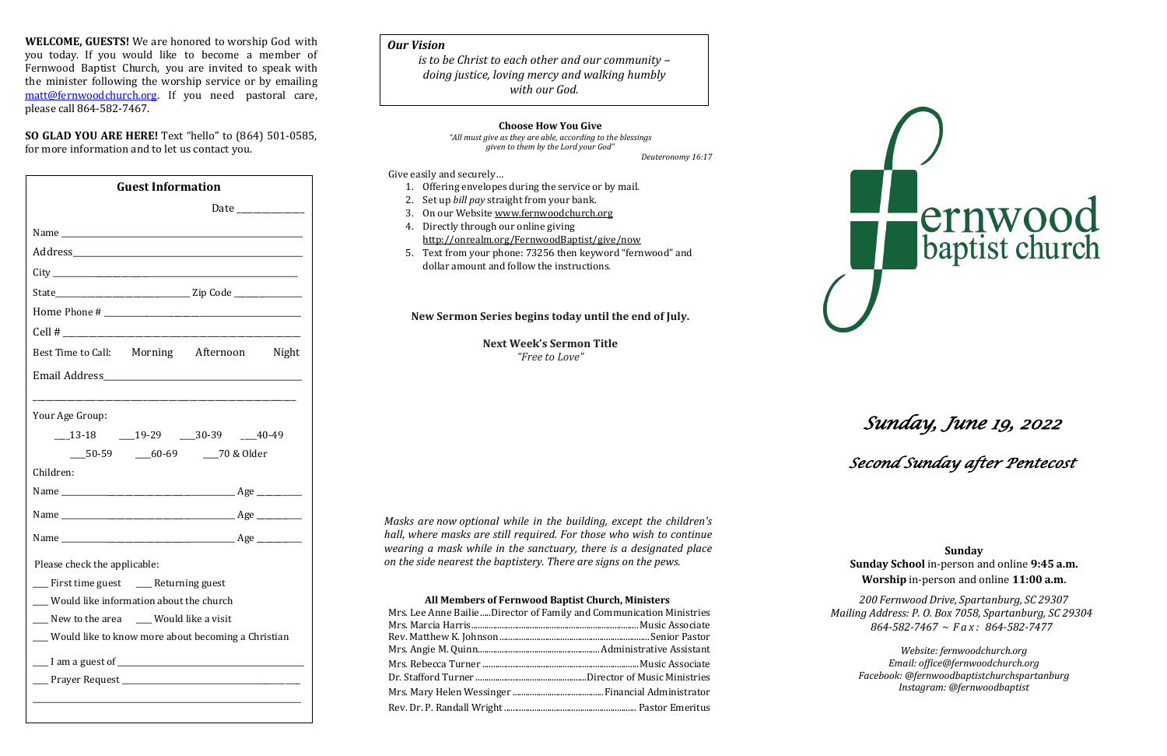**WELCOME, GUESTS!** We are honored to worship God with you today. If you would like to become a member of Fernwood Baptist Church, you are invited to speak with the minister following the worship service or by emailing [matt@fernwoodchurch.org.](mailto:matt@fernwoodchurch.org) If you need pastoral care, please call 864-582-7467.

**SO GLAD YOU ARE HERE!** Text "hello" to (864) 501-0585, for more information and to let us contact you.

#### **Choose How You Give**

*"All must give as they are able, according to the blessings given to them by the Lord your God"*

*Deuteronomy 16:17*

#### Give easily and securely…

- 1. Offering envelopes during the service or by mail.
- 2. Set up *bill pay* straight from your bank.
- 3. On our Website [www.fernwoodchurch.org](http://www.fernwoodchurch.org/)
- 4. Directly through our online giving <http://onrealm.org/FernwoodBaptist/give/now>
- 5. Text from your phone: 73256 then keyword "fernwood" and dollar amount and follow the instructions.

### **New Sermon Series begins today until the end of July.**

**Next Week's Sermon Title** *"Free to Love"*

*Masks are now optional while in the building, except the children's hall, where masks are still required. For those who wish to continue wearing a mask while in the sanctuary, there is a designated place on the side nearest the baptistery. There are signs on the pews.*

# **All Members of Fernwood Baptist Church, Ministers**

| Mrs. Lee Anne BailieDirector of Family and Communication Ministries |  |
|---------------------------------------------------------------------|--|
|                                                                     |  |
|                                                                     |  |
|                                                                     |  |
|                                                                     |  |
|                                                                     |  |
|                                                                     |  |
|                                                                     |  |
|                                                                     |  |

# *Sunday, June 19, 2022*

 *Second Sunday after Pentecost* 

**Sunday Sunday School** in-person and online **9:45 a.m. Worship** in-person and online **11:00 a.m**.



*200 Fernwood Drive, Spartanburg, SC 29307 Mailing Address: P. O. Box 7058, Spartanburg, SC 29304 864-582-7467 ~ Fax: 864-582-7477*

> *Website: fernwoodchurch.org Email: [office@fernwoodchurch.org](mailto:office@fernwoodchurch.org) Facebook: @fernwoodbaptistchurchspartanburg Instagram: @fernwoodbaptist*

#### *Our Vision*

*is to be Christ to each other and our community – doing justice, loving mercy and walking humbly with our God.*

|                                                                               | <b>Guest Information</b> |                                     |  |  |  |
|-------------------------------------------------------------------------------|--------------------------|-------------------------------------|--|--|--|
|                                                                               |                          |                                     |  |  |  |
|                                                                               |                          |                                     |  |  |  |
|                                                                               |                          |                                     |  |  |  |
|                                                                               |                          |                                     |  |  |  |
|                                                                               |                          |                                     |  |  |  |
|                                                                               |                          |                                     |  |  |  |
|                                                                               |                          |                                     |  |  |  |
| Best Time to Call: Morning Afternoon Night                                    |                          |                                     |  |  |  |
|                                                                               |                          |                                     |  |  |  |
|                                                                               |                          |                                     |  |  |  |
| Your Age Group:                                                               |                          |                                     |  |  |  |
|                                                                               |                          | $-13-18$ $-19-29$ $-30-39$ $-40-49$ |  |  |  |
|                                                                               |                          | 50-59 60-69 70 & Older              |  |  |  |
| Children:                                                                     |                          |                                     |  |  |  |
|                                                                               |                          |                                     |  |  |  |
|                                                                               |                          |                                     |  |  |  |
|                                                                               |                          |                                     |  |  |  |
|                                                                               |                          |                                     |  |  |  |
| Please check the applicable:                                                  |                          |                                     |  |  |  |
| __ First time guest __ Returning guest                                        |                          |                                     |  |  |  |
| Would like information about the church<br>New to the area Would like a visit |                          |                                     |  |  |  |
| __ Would like to know more about becoming a Christian                         |                          |                                     |  |  |  |
|                                                                               |                          |                                     |  |  |  |
|                                                                               |                          |                                     |  |  |  |
|                                                                               |                          |                                     |  |  |  |